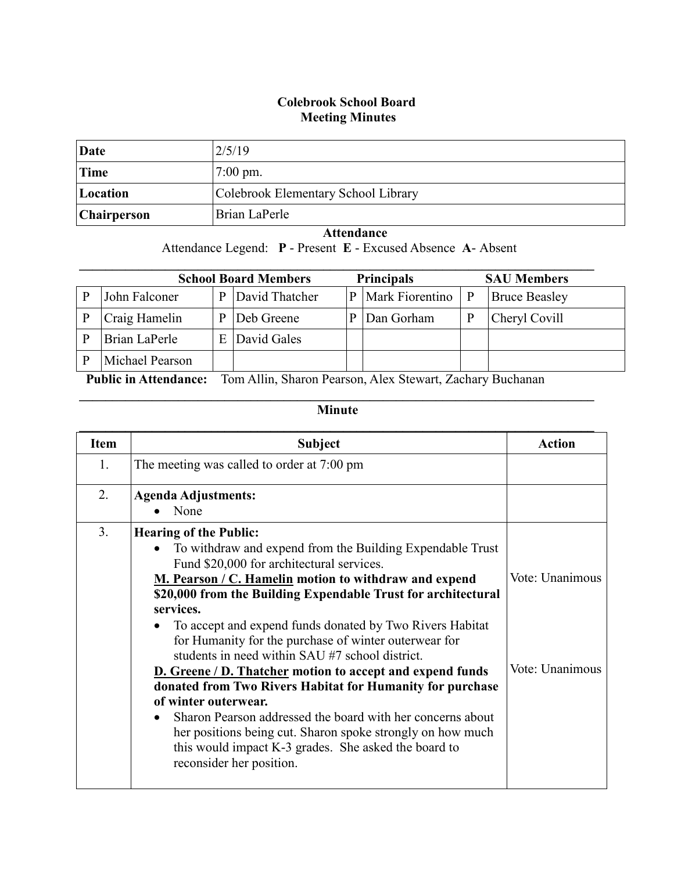## **Colebrook School Board Meeting Minutes**

| Date        | 2/5/19                              |
|-------------|-------------------------------------|
| Time        | $7:00 \text{ pm}$ .                 |
| Location    | Colebrook Elementary School Library |
| Chairperson | Brian LaPerle                       |

 **Attendance** Attendance Legend: **P** - Present **E** - Excused Absence **A**- Absent

|  |                 |   | <b>Principals</b><br><b>School Board Members</b> |   |                 |   | <b>SAU Members</b>   |
|--|-----------------|---|--------------------------------------------------|---|-----------------|---|----------------------|
|  | John Falconer   | P | David Thatcher                                   | P | Mark Fiorentino | P | <b>Bruce Beasley</b> |
|  | Craig Hamelin   | p | Deb Greene                                       |   | Dan Gorham      |   | Cheryl Covill        |
|  | Brian LaPerle   | E | David Gales                                      |   |                 |   |                      |
|  | Michael Pearson |   |                                                  |   |                 |   |                      |
|  |                 |   |                                                  |   |                 |   |                      |

 **Public in Attendance:** Tom Allin, Sharon Pearson, Alex Stewart, Zachary Buchanan

## $\mathcal{L}_\mathcal{L} = \{ \mathcal{L}_\mathcal{L} = \{ \mathcal{L}_\mathcal{L} = \{ \mathcal{L}_\mathcal{L} = \{ \mathcal{L}_\mathcal{L} = \{ \mathcal{L}_\mathcal{L} = \{ \mathcal{L}_\mathcal{L} = \{ \mathcal{L}_\mathcal{L} = \{ \mathcal{L}_\mathcal{L} = \{ \mathcal{L}_\mathcal{L} = \{ \mathcal{L}_\mathcal{L} = \{ \mathcal{L}_\mathcal{L} = \{ \mathcal{L}_\mathcal{L} = \{ \mathcal{L}_\mathcal{L} = \{ \mathcal{L}_\mathcal{$ **Minute**

| <b>Item</b> | <b>Subject</b>                                                                                                                                                                                               | <b>Action</b>   |
|-------------|--------------------------------------------------------------------------------------------------------------------------------------------------------------------------------------------------------------|-----------------|
|             |                                                                                                                                                                                                              |                 |
| 1.          | The meeting was called to order at 7:00 pm                                                                                                                                                                   |                 |
| 2.          | <b>Agenda Adjustments:</b>                                                                                                                                                                                   |                 |
|             | None                                                                                                                                                                                                         |                 |
| 3.          | <b>Hearing of the Public:</b>                                                                                                                                                                                |                 |
|             | To withdraw and expend from the Building Expendable Trust                                                                                                                                                    |                 |
|             | Fund \$20,000 for architectural services.                                                                                                                                                                    |                 |
|             | M. Pearson / C. Hamelin motion to withdraw and expend                                                                                                                                                        | Vote: Unanimous |
|             | \$20,000 from the Building Expendable Trust for architectural                                                                                                                                                |                 |
|             | services.                                                                                                                                                                                                    |                 |
|             | To accept and expend funds donated by Two Rivers Habitat                                                                                                                                                     |                 |
|             | for Humanity for the purchase of winter outerwear for                                                                                                                                                        |                 |
|             | students in need within SAU #7 school district.                                                                                                                                                              | Vote: Unanimous |
|             | <b>D.</b> Greene / <b>D.</b> Thatcher motion to accept and expend funds                                                                                                                                      |                 |
|             | donated from Two Rivers Habitat for Humanity for purchase                                                                                                                                                    |                 |
|             | of winter outerwear.                                                                                                                                                                                         |                 |
|             | Sharon Pearson addressed the board with her concerns about<br>her positions being cut. Sharon spoke strongly on how much<br>this would impact K-3 grades. She asked the board to<br>reconsider her position. |                 |
|             |                                                                                                                                                                                                              |                 |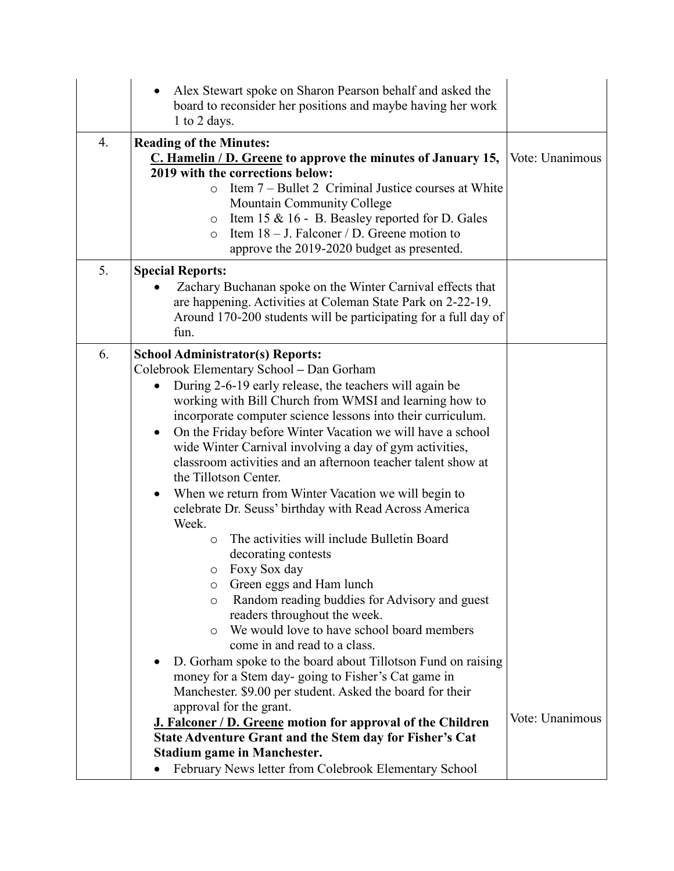|    | Alex Stewart spoke on Sharon Pearson behalf and asked the<br>board to reconsider her positions and maybe having her work<br>1 to 2 days.                                                                                                                                                                                                                                                                                                                                                                                                                                                                                                                                                                                                                                                                                                                                                                                                                                                                                                                                                                                                                                                                                                                                                                                                                                                                                    |                 |
|----|-----------------------------------------------------------------------------------------------------------------------------------------------------------------------------------------------------------------------------------------------------------------------------------------------------------------------------------------------------------------------------------------------------------------------------------------------------------------------------------------------------------------------------------------------------------------------------------------------------------------------------------------------------------------------------------------------------------------------------------------------------------------------------------------------------------------------------------------------------------------------------------------------------------------------------------------------------------------------------------------------------------------------------------------------------------------------------------------------------------------------------------------------------------------------------------------------------------------------------------------------------------------------------------------------------------------------------------------------------------------------------------------------------------------------------|-----------------|
| 4. | <b>Reading of the Minutes:</b><br>C. Hamelin / D. Greene to approve the minutes of January 15,<br>2019 with the corrections below:<br>Item 7 – Bullet 2 Criminal Justice courses at White<br>$\circ$<br><b>Mountain Community College</b><br>Item 15 & 16 - B. Beasley reported for D. Gales<br>$\circ$<br>Item $18 - J$ . Falconer / D. Greene motion to<br>$\circ$<br>approve the 2019-2020 budget as presented.                                                                                                                                                                                                                                                                                                                                                                                                                                                                                                                                                                                                                                                                                                                                                                                                                                                                                                                                                                                                          | Vote: Unanimous |
| 5. | <b>Special Reports:</b><br>Zachary Buchanan spoke on the Winter Carnival effects that<br>are happening. Activities at Coleman State Park on 2-22-19.<br>Around 170-200 students will be participating for a full day of<br>fun.                                                                                                                                                                                                                                                                                                                                                                                                                                                                                                                                                                                                                                                                                                                                                                                                                                                                                                                                                                                                                                                                                                                                                                                             |                 |
| 6. | <b>School Administrator(s) Reports:</b><br>Colebrook Elementary School - Dan Gorham<br>During 2-6-19 early release, the teachers will again be<br>$\bullet$<br>working with Bill Church from WMSI and learning how to<br>incorporate computer science lessons into their curriculum.<br>On the Friday before Winter Vacation we will have a school<br>$\bullet$<br>wide Winter Carnival involving a day of gym activities,<br>classroom activities and an afternoon teacher talent show at<br>the Tillotson Center.<br>When we return from Winter Vacation we will begin to<br>celebrate Dr. Seuss' birthday with Read Across America<br>Week.<br>The activities will include Bulletin Board<br>$\circ$<br>decorating contests<br>$\circ$ Foxy Sox day<br>Green eggs and Ham lunch<br>O<br>Random reading buddies for Advisory and guest<br>O<br>readers throughout the week.<br>We would love to have school board members<br>$\circ$<br>come in and read to a class.<br>D. Gorham spoke to the board about Tillotson Fund on raising<br>money for a Stem day-going to Fisher's Cat game in<br>Manchester. \$9.00 per student. Asked the board for their<br>approval for the grant.<br><b>J. Falconer / D. Greene motion for approval of the Children</b><br><b>State Adventure Grant and the Stem day for Fisher's Cat</b><br><b>Stadium game in Manchester.</b><br>February News letter from Colebrook Elementary School | Vote: Unanimous |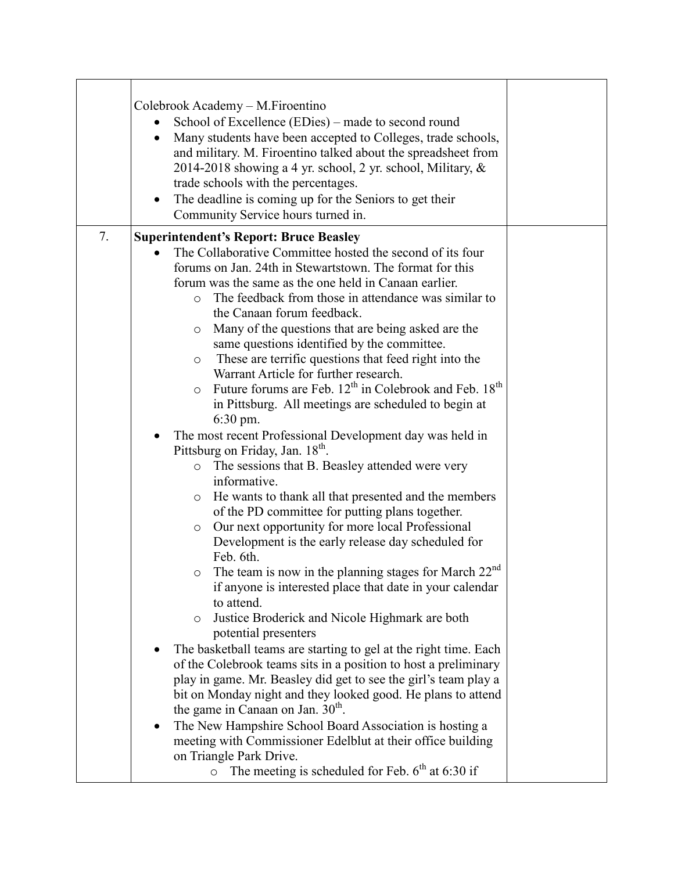|    | Colebrook Academy – M. Firoentino<br>School of Excellence (EDies) - made to second round<br>Many students have been accepted to Colleges, trade schools,<br>$\bullet$<br>and military. M. Firoentino talked about the spreadsheet from<br>2014-2018 showing a 4 yr. school, 2 yr. school, Military, &<br>trade schools with the percentages.<br>The deadline is coming up for the Seniors to get their<br>$\bullet$<br>Community Service hours turned in. |  |
|----|-----------------------------------------------------------------------------------------------------------------------------------------------------------------------------------------------------------------------------------------------------------------------------------------------------------------------------------------------------------------------------------------------------------------------------------------------------------|--|
| 7. | <b>Superintendent's Report: Bruce Beasley</b>                                                                                                                                                                                                                                                                                                                                                                                                             |  |
|    | The Collaborative Committee hosted the second of its four<br>forums on Jan. 24th in Stewartstown. The format for this                                                                                                                                                                                                                                                                                                                                     |  |
|    | forum was the same as the one held in Canaan earlier.                                                                                                                                                                                                                                                                                                                                                                                                     |  |
|    | The feedback from those in attendance was similar to<br>$\Omega$                                                                                                                                                                                                                                                                                                                                                                                          |  |
|    | the Canaan forum feedback.                                                                                                                                                                                                                                                                                                                                                                                                                                |  |
|    | Many of the questions that are being asked are the<br>$\circ$                                                                                                                                                                                                                                                                                                                                                                                             |  |
|    | same questions identified by the committee.                                                                                                                                                                                                                                                                                                                                                                                                               |  |
|    | These are terrific questions that feed right into the<br>$\circ$                                                                                                                                                                                                                                                                                                                                                                                          |  |
|    | Warrant Article for further research.                                                                                                                                                                                                                                                                                                                                                                                                                     |  |
|    | Future forums are Feb. 12 <sup>th</sup> in Colebrook and Feb. 18 <sup>th</sup><br>$\circ$                                                                                                                                                                                                                                                                                                                                                                 |  |
|    | in Pittsburg. All meetings are scheduled to begin at<br>6:30 pm.                                                                                                                                                                                                                                                                                                                                                                                          |  |
|    | The most recent Professional Development day was held in<br>$\bullet$                                                                                                                                                                                                                                                                                                                                                                                     |  |
|    | Pittsburg on Friday, Jan. 18 <sup>th</sup> .                                                                                                                                                                                                                                                                                                                                                                                                              |  |
|    | The sessions that B. Beasley attended were very<br>$\circ$                                                                                                                                                                                                                                                                                                                                                                                                |  |
|    | informative.                                                                                                                                                                                                                                                                                                                                                                                                                                              |  |
|    | He wants to thank all that presented and the members<br>O                                                                                                                                                                                                                                                                                                                                                                                                 |  |
|    | of the PD committee for putting plans together.                                                                                                                                                                                                                                                                                                                                                                                                           |  |
|    | Our next opportunity for more local Professional<br>$\circ$                                                                                                                                                                                                                                                                                                                                                                                               |  |
|    | Development is the early release day scheduled for                                                                                                                                                                                                                                                                                                                                                                                                        |  |
|    | Feb. 6th.                                                                                                                                                                                                                                                                                                                                                                                                                                                 |  |
|    | $\circ$ The team is now in the planning stages for March 22 <sup>nd</sup><br>if anyone is interested place that date in your calendar                                                                                                                                                                                                                                                                                                                     |  |
|    | to attend.                                                                                                                                                                                                                                                                                                                                                                                                                                                |  |
|    | Justice Broderick and Nicole Highmark are both<br>$\circ$                                                                                                                                                                                                                                                                                                                                                                                                 |  |
|    | potential presenters                                                                                                                                                                                                                                                                                                                                                                                                                                      |  |
|    | The basketball teams are starting to gel at the right time. Each                                                                                                                                                                                                                                                                                                                                                                                          |  |
|    | of the Colebrook teams sits in a position to host a preliminary                                                                                                                                                                                                                                                                                                                                                                                           |  |
|    | play in game. Mr. Beasley did get to see the girl's team play a                                                                                                                                                                                                                                                                                                                                                                                           |  |
|    | bit on Monday night and they looked good. He plans to attend                                                                                                                                                                                                                                                                                                                                                                                              |  |
|    | the game in Canaan on Jan. 30 <sup>th</sup> .                                                                                                                                                                                                                                                                                                                                                                                                             |  |
|    | The New Hampshire School Board Association is hosting a<br>$\bullet$<br>meeting with Commissioner Edelblut at their office building                                                                                                                                                                                                                                                                                                                       |  |
|    | on Triangle Park Drive.                                                                                                                                                                                                                                                                                                                                                                                                                                   |  |
|    | The meeting is scheduled for Feb. $6th$ at 6:30 if<br>$\circ$                                                                                                                                                                                                                                                                                                                                                                                             |  |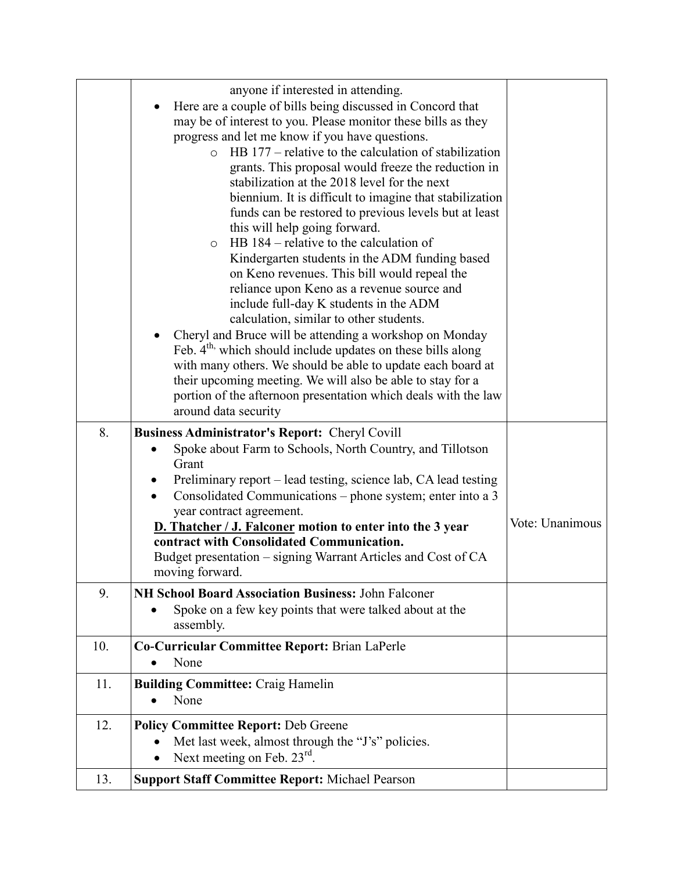|     | anyone if interested in attending.<br>Here are a couple of bills being discussed in Concord that<br>may be of interest to you. Please monitor these bills as they<br>progress and let me know if you have questions.<br>HB 177 – relative to the calculation of stabilization<br>$\circ$<br>grants. This proposal would freeze the reduction in<br>stabilization at the 2018 level for the next<br>biennium. It is difficult to imagine that stabilization<br>funds can be restored to previous levels but at least<br>this will help going forward.<br>HB 184 – relative to the calculation of<br>$\circ$<br>Kindergarten students in the ADM funding based<br>on Keno revenues. This bill would repeal the<br>reliance upon Keno as a revenue source and<br>include full-day K students in the ADM<br>calculation, similar to other students.<br>Cheryl and Bruce will be attending a workshop on Monday<br>Feb. 4 <sup>th,</sup> which should include updates on these bills along<br>with many others. We should be able to update each board at<br>their upcoming meeting. We will also be able to stay for a<br>portion of the afternoon presentation which deals with the law<br>around data security |                 |
|-----|--------------------------------------------------------------------------------------------------------------------------------------------------------------------------------------------------------------------------------------------------------------------------------------------------------------------------------------------------------------------------------------------------------------------------------------------------------------------------------------------------------------------------------------------------------------------------------------------------------------------------------------------------------------------------------------------------------------------------------------------------------------------------------------------------------------------------------------------------------------------------------------------------------------------------------------------------------------------------------------------------------------------------------------------------------------------------------------------------------------------------------------------------------------------------------------------------------------|-----------------|
| 8.  | <b>Business Administrator's Report: Cheryl Covill</b>                                                                                                                                                                                                                                                                                                                                                                                                                                                                                                                                                                                                                                                                                                                                                                                                                                                                                                                                                                                                                                                                                                                                                        |                 |
|     | Spoke about Farm to Schools, North Country, and Tillotson<br>Grant<br>Preliminary report – lead testing, science lab, CA lead testing<br>Consolidated Communications – phone system; enter into a 3<br>year contract agreement.<br><b>D. Thatcher / J. Falconer motion to enter into the 3 year</b><br>contract with Consolidated Communication.<br>Budget presentation - signing Warrant Articles and Cost of CA<br>moving forward.                                                                                                                                                                                                                                                                                                                                                                                                                                                                                                                                                                                                                                                                                                                                                                         | Vote: Unanimous |
| 9.  | <b>NH School Board Association Business: John Falconer</b>                                                                                                                                                                                                                                                                                                                                                                                                                                                                                                                                                                                                                                                                                                                                                                                                                                                                                                                                                                                                                                                                                                                                                   |                 |
|     | Spoke on a few key points that were talked about at the<br>assembly.                                                                                                                                                                                                                                                                                                                                                                                                                                                                                                                                                                                                                                                                                                                                                                                                                                                                                                                                                                                                                                                                                                                                         |                 |
| 10. | Co-Curricular Committee Report: Brian LaPerle                                                                                                                                                                                                                                                                                                                                                                                                                                                                                                                                                                                                                                                                                                                                                                                                                                                                                                                                                                                                                                                                                                                                                                |                 |
|     | None                                                                                                                                                                                                                                                                                                                                                                                                                                                                                                                                                                                                                                                                                                                                                                                                                                                                                                                                                                                                                                                                                                                                                                                                         |                 |
| 11. | <b>Building Committee: Craig Hamelin</b><br>None                                                                                                                                                                                                                                                                                                                                                                                                                                                                                                                                                                                                                                                                                                                                                                                                                                                                                                                                                                                                                                                                                                                                                             |                 |
| 12. | <b>Policy Committee Report: Deb Greene</b><br>Met last week, almost through the "J's" policies.<br>$\bullet$                                                                                                                                                                                                                                                                                                                                                                                                                                                                                                                                                                                                                                                                                                                                                                                                                                                                                                                                                                                                                                                                                                 |                 |
|     | Next meeting on Feb. $23^{\text{rd}}$ .<br>$\bullet$                                                                                                                                                                                                                                                                                                                                                                                                                                                                                                                                                                                                                                                                                                                                                                                                                                                                                                                                                                                                                                                                                                                                                         |                 |
| 13. | <b>Support Staff Committee Report: Michael Pearson</b>                                                                                                                                                                                                                                                                                                                                                                                                                                                                                                                                                                                                                                                                                                                                                                                                                                                                                                                                                                                                                                                                                                                                                       |                 |